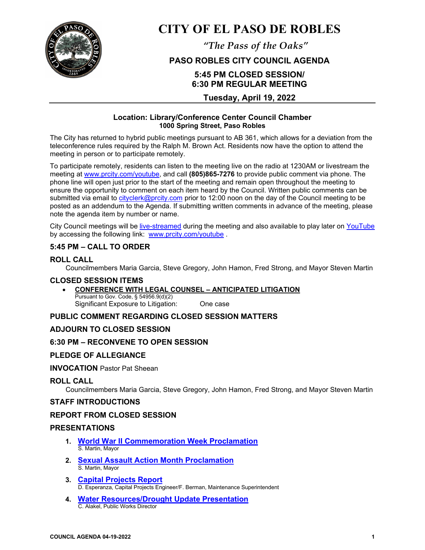

# **CITY OF EL PASO DE ROBLES**

*"The Pass of the Oaks"*

## **PASO ROBLES CITY COUNCIL AGENDA**

# **5:45 PM CLOSED SESSION/ 6:30 PM REGULAR MEETING**

## **Tuesday, April 19, 2022**

#### **Location: Library/Conference Center Council Chamber 1000 Spring Street, Paso Robles**

The City has returned to hybrid public meetings pursuant to AB 361, which allows for a deviation from the teleconference rules required by the Ralph M. Brown Act. Residents now have the option to attend the meeting in person or to participate remotely.

To participate remotely, residents can listen to the meeting live on the radio at 1230AM or livestream the meeting at [www.prcity.com/youtube,](http://www.prcity.com/youtube) and call **(805)865-7276** to provide public comment via phone. The phone line will open just prior to the start of the meeting and remain open throughout the meeting to ensure the opportunity to comment on each item heard by the Council. Written public comments can be submitted via email to [cityclerk@prcity.com](mailto:cityclerk@prcity.com) prior to 12:00 noon on the day of the Council meeting to be posted as an addendum to the Agenda. If submitting written comments in advance of the meeting, please note the agenda item by number or name.

City Council meetings will be [live-streamed](https://www.youtube.com/channel/UCxElWtI1YhkPr6KI552RDuw) during the meeting and also available to play later on [YouTube](https://www.youtube.com/channel/UCxElWtI1YhkPr6KI552RDuw) by accessing the following link: [www.prcity.com/youtube](http://www.prcity.com/youtube) .

## **5:45 PM – CALL TO ORDER**

## **ROLL CALL**

Councilmembers Maria Garcia, Steve Gregory, John Hamon, Fred Strong, and Mayor Steven Martin

#### **CLOSED SESSION ITEMS**

#### • **CONFERENCE WITH LEGAL COUNSEL – ANTICIPATED LITIGATION** Pursuant to Gov. Code, § 54956.9(d)(2) Significant Exposure to Litigation: One case

## **PUBLIC COMMENT REGARDING CLOSED SESSION MATTERS**

## **ADJOURN TO CLOSED SESSION**

#### **6:30 PM – RECONVENE TO OPEN SESSION**

## **PLEDGE OF ALLEGIANCE**

#### **INVOCATION** Pastor Pat Sheean

#### **ROLL CALL**

Councilmembers Maria Garcia, Steve Gregory, John Hamon, Fred Strong, and Mayor Steven Martin

#### **STAFF INTRODUCTIONS**

#### **REPORT FROM CLOSED SESSION**

## **PRESENTATIONS**

- **1. [World War II Commemoration Week Proclamation](https://www.prcity.com/DocumentCenter/View/33592/April-19-2022-City-Council-Agenda-Item-01-PDF)**  S. Martin, Mayor
- **2. [Sexual Assault Action Month Proclamation](https://www.prcity.com/DocumentCenter/View/33593/April-19-2022-City-Council-Agenda-Item-02-PDF)**  S. Martin, Mayor
- **3. [Capital Projects Report](https://www.prcity.com/DocumentCenter/View/33594/April-19-2022-City-Council-Agenda-Item-03-PDF)**  D. Esperanza, Capital Projects Engineer/F. Berman, Maintenance Superintendent
- **4. [Water Resources/Drought Update Presentation](https://www.prcity.com/DocumentCenter/View/33595/April-19-2022-City-Council-Agenda-Item-04-PDF)**  C. Alakel, Public Works Director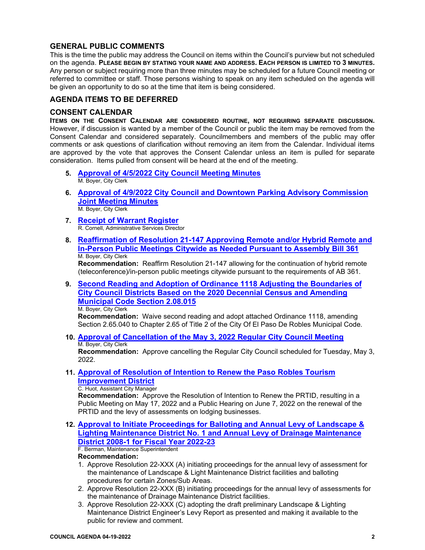## **GENERAL PUBLIC COMMENTS**

This is the time the public may address the Council on items within the Council's purview but not scheduled on the agenda. **PLEASE BEGIN BY STATING YOUR NAME AND ADDRESS. EACH PERSON IS LIMITED TO 3 MINUTES.** Any person or subject requiring more than three minutes may be scheduled for a future Council meeting or referred to committee or staff. Those persons wishing to speak on any item scheduled on the agenda will be given an opportunity to do so at the time that item is being considered.

## **AGENDA ITEMS TO BE DEFERRED**

#### **CONSENT CALENDAR**

**ITEMS ON THE CONSENT CALENDAR ARE CONSIDERED ROUTINE, NOT REQUIRING SEPARATE DISCUSSION.** However, if discussion is wanted by a member of the Council or public the item may be removed from the Consent Calendar and considered separately. Councilmembers and members of the public may offer comments or ask questions of clarification without removing an item from the Calendar. Individual items are approved by the vote that approves the Consent Calendar unless an item is pulled for separate consideration. Items pulled from consent will be heard at the end of the meeting.

- **5. [Approval of 4/5/2022 City Council Meeting Minutes](https://www.prcity.com/DocumentCenter/View/33596/April-19-2022-City-Council-Agenda-Item-05-PDF)**  M. Boyer, City Clerk
- **6. [Approval of 4/9/2022 City Council and Downtown Parking Advisory Commission](https://www.prcity.com/DocumentCenter/View/33597/April-19-2022-City-Council-Agenda-Item-06-PDF)  [Joint Meeting](https://www.prcity.com/DocumentCenter/View/33597/April-19-2022-City-Council-Agenda-Item-06-PDF) Minutes**  M. Boyer, City Clerk
- **7. Receipt [of Warrant Register](https://www.prcity.com/DocumentCenter/View/33598/April-19-2022-City-Council-Agenda-Item-07-PDF)**R. Cornell, Administrative Services Director
- **8. [Reaffirmation of Resolution 21-147 Approving Remote and/or Hybrid Remote and](https://www.prcity.com/DocumentCenter/View/33599/April-19-2022-City-Council-Agenda-Item-08-PDF)  [In-Person Public Meetings Citywide as Needed Pursuant to Assembly Bill](https://www.prcity.com/DocumentCenter/View/33599/April-19-2022-City-Council-Agenda-Item-08-PDF) 361** M. Boyer, City Clerk

**Recommendation:** Reaffirm Resolution 21-147 allowing for the continuation of hybrid remote (teleconference)/in-person public meetings citywide pursuant to the requirements of AB 361.

**9. [Second Reading and Adoption of Ordinance 1118 Adjusting the Boundaries of](https://www.prcity.com/DocumentCenter/View/33600/April-19-2022-City-Council-Agenda-Item-09-PDF)  [City Council Districts Based on the 2020 Decennial Census and Amending](https://www.prcity.com/DocumentCenter/View/33600/April-19-2022-City-Council-Agenda-Item-09-PDF)  [Municipal Code Section 2.08.015](https://www.prcity.com/DocumentCenter/View/33600/April-19-2022-City-Council-Agenda-Item-09-PDF)**

M. Boyer, City Clerk

**Recommendation:** Waive second reading and adopt attached Ordinance 1118, amending Section 2.65.040 to Chapter 2.65 of Title 2 of the City Of El Paso De Robles Municipal Code.

**10. [Approval of Cancellation of the May 3, 2022 Regular City Council Meeting](https://www.prcity.com/DocumentCenter/View/33601/April-19-2022-City-Council-Agenda-Item-10-PDF)** M. Boyer, City Clerk

**Recommendation:** Approve cancelling the Regular City Council scheduled for Tuesday, May 3, 2022.

**11. [Approval of Resolution of Intention to Renew the Paso Robles Tourism](https://www.prcity.com/DocumentCenter/View/33602/April-19-2022-City-Council-Agenda-Item-11-PDF)  [Improvement District](https://www.prcity.com/DocumentCenter/View/33602/April-19-2022-City-Council-Agenda-Item-11-PDF)**

#### C. Huot, Assistant City Manager

**Recommendation:** Approve the Resolution of Intention to Renew the PRTID, resulting in a Public Meeting on May 17, 2022 and a Public Hearing on June 7, 2022 on the renewal of the PRTID and the levy of assessments on lodging businesses.

**12. [Approval to Initiate Proceedings for Balloting and Annual Levy of Landscape &](https://www.prcity.com/DocumentCenter/View/33603/April-19-2022-City-Council-Agenda-Item-12-PDF)  [Lighting Maintenance District No. 1 and Annual Levy of Drainage Maintenance](https://www.prcity.com/DocumentCenter/View/33603/April-19-2022-City-Council-Agenda-Item-12-PDF)  [District 2008-1 for Fiscal Year 2022-23](https://www.prcity.com/DocumentCenter/View/33603/April-19-2022-City-Council-Agenda-Item-12-PDF)**

F. Berman, Maintenance Superintendent

#### **Recommendation:**

- 1. Approve Resolution 22-XXX (A) initiating proceedings for the annual levy of assessment for the maintenance of Landscape & Light Maintenance District facilities and balloting procedures for certain Zones/Sub Areas.
- 2. Approve Resolution 22-XXX (B) initiating proceedings for the annual levy of assessments for the maintenance of Drainage Maintenance District facilities.
- 3. Approve Resolution 22-XXX (C) adopting the draft preliminary Landscape & Lighting Maintenance District Engineer's Levy Report as presented and making it available to the public for review and comment.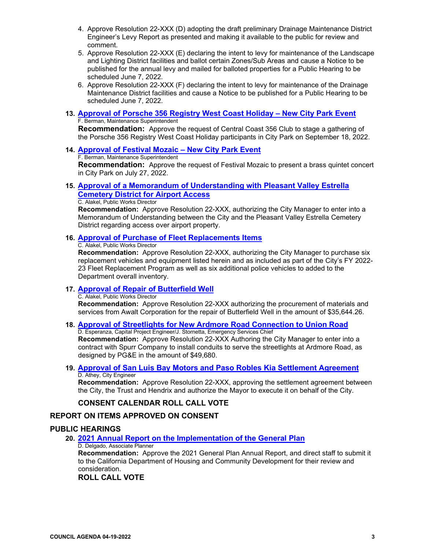- 4. Approve Resolution 22-XXX (D) adopting the draft preliminary Drainage Maintenance District Engineer's Levy Report as presented and making it available to the public for review and comment.
- 5. Approve Resolution 22-XXX (E) declaring the intent to levy for maintenance of the Landscape and Lighting District facilities and ballot certain Zones/Sub Areas and cause a Notice to be published for the annual levy and mailed for balloted properties for a Public Hearing to be scheduled June 7, 2022.
- 6. Approve Resolution 22-XXX (F) declaring the intent to levy for maintenance of the Drainage Maintenance District facilities and cause a Notice to be published for a Public Hearing to be scheduled June 7, 2022.
- **13. Approval of Porsche 356 Registry [West Coast Holiday New City Park Event](https://www.prcity.com/DocumentCenter/View/33604/April-19-2022-City-Council-Agenda-Item-13-PDF)** F. Berman, Maintenance Superintendent

**Recommendation:** Approve the request of Central Coast 356 Club to stage a gathering of the Porsche 356 Registry West Coast Holiday participants in City Park on September 18, 2022.

**14. [Approval of Festival Mozaic – New City Park Event](https://www.prcity.com/DocumentCenter/View/33605/April-19-2022-City-Council-Agenda-Item-14-PDF)**

F. Berman, Maintenance Superintendent

**Recommendation:** Approve the request of Festival Mozaic to present a brass quintet concert in City Park on July 27, 2022.

## **15. [Approval of a Memorandum of Understanding with Pleasant Valley Estrella](https://www.prcity.com/DocumentCenter/View/33606/April-19-2022-City-Council-Agenda-Item-15-PDF)  [Cemetery District for Airport Access](https://www.prcity.com/DocumentCenter/View/33606/April-19-2022-City-Council-Agenda-Item-15-PDF)**

#### C. Alakel, Public Works Director

**Recommendation:** Approve Resolution 22-XXX, authorizing the City Manager to enter into a Memorandum of Understanding between the City and the Pleasant Valley Estrella Cemetery District regarding access over airport property.

## **16. [Approval of Purchase of Fleet Replacements Items](https://www.prcity.com/DocumentCenter/View/33607/April-19-2022-City-Council-Agenda-Item-16-PDF)**

C. Alakel, Public Works Director

**Recommendation:** Approve Resolution 22-XXX, authorizing the City Manager to purchase six replacement vehicles and equipment listed herein and as included as part of the City's FY 2022- 23 Fleet Replacement Program as well as six additional police vehicles to added to the Department overall inventory.

#### **17. [Approval of Repair of Butterfield Well](https://www.prcity.com/DocumentCenter/View/33608/April-19-2022-City-Council-Agenda-Item-17-PDF)**

C. Alakel, Public Works Director

**Recommendation:** Approve Resolution 22-XXX authorizing the procurement of materials and services from Awalt Corporation for the repair of Butterfield Well in the amount of \$35,644.26.

**18. [Approval of Streetlights for New Ardmore Road Connection to Union Road](https://www.prcity.com/DocumentCenter/View/33609/April-19-2022-City-Council-Agenda-Item-18-PDF)** D. Esperanza, Capital Project Engineer/J. Stornetta, Emergency Services Chief

**Recommendation:** Approve Resolution 22-XXX Authoring the City Manager to enter into a contract with Spurr Company to install conduits to serve the streetlights at Ardmore Road, as designed by PG&E in the amount of \$49,680.

**19. [Approval of San Luis Bay Motors and Paso Robles Kia Settlement Agreement](https://www.prcity.com/DocumentCenter/View/33610/April-19-2022-City-Council-Agenda-Item-19-PDF)** D. Athey, City Engineer

**Recommendation:** Approve Resolution 22-XXX, approving the settlement agreement between the City, the Trust and Hendrix and authorize the Mayor to execute it on behalf of the City.

## **CONSENT CALENDAR ROLL CALL VOTE**

## **REPORT ON ITEMS APPROVED ON CONSENT**

## **PUBLIC HEARINGS**

## **20. [2021 Annual Report on the Implementation of the General Plan](https://www.prcity.com/DocumentCenter/View/33611/April-19-2022-City-Council-Agenda-Item-20-PDF)**

D. Delgado, Associate Planner

**Recommendation:** Approve the 2021 General Plan Annual Report, and direct staff to submit it to the California Department of Housing and Community Development for their review and consideration.

**ROLL CALL VOTE**